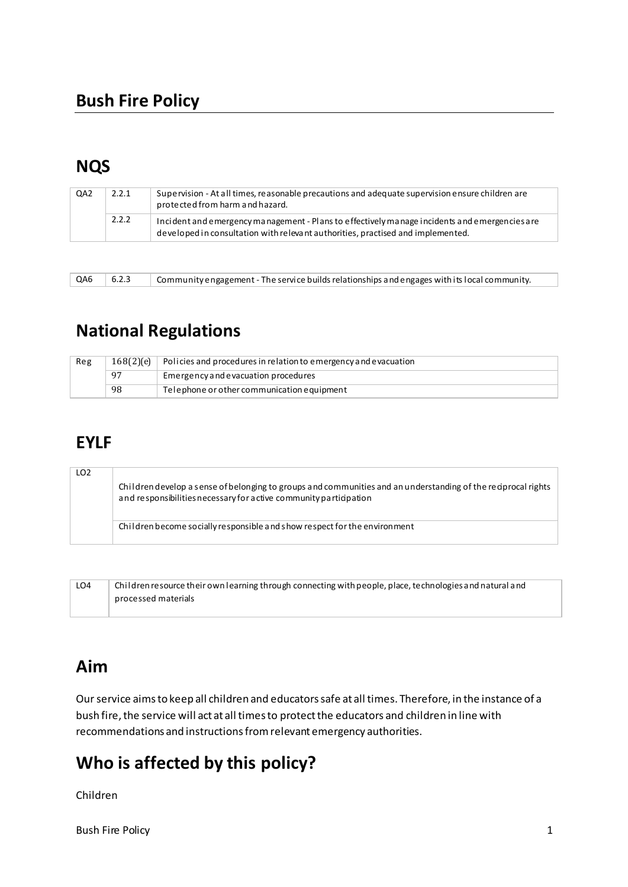## **NQS**

| QA <sub>2</sub> | 2.2.1 | Supervision - At all times, reasonable precautions and adequate supervision ensure children are<br>protected from harm and hazard.                                               |
|-----------------|-------|----------------------------------------------------------------------------------------------------------------------------------------------------------------------------------|
|                 | 2.2.2 | Incident and emergency management - Plans to effectively manage incidents and emergencies are<br>developed in consultation with relevant authorities, practised and implemented. |

QA6 6.2.3 Community engagement - The service builds relationships and engages with its local community.

# **National Regulations**

| Reg | 168(2)(e) | Policies and procedures in relation to emergency and evacuation |
|-----|-----------|-----------------------------------------------------------------|
|     | 97        | Emergency and evacuation procedures                             |
|     | 98        | Telephone or other communication equipment                      |

### **EYLF**

| LO <sub>2</sub> | Children develop a sense of belonging to groups and communities and an understanding of the regiprocal rights<br>and responsibilities necessary for active community participation |
|-----------------|------------------------------------------------------------------------------------------------------------------------------------------------------------------------------------|
|                 | Children become socially responsible and show respect for the environment                                                                                                          |

| LO4 | Children resource their own learning through connecting with people, place, technologies and natural and |
|-----|----------------------------------------------------------------------------------------------------------|
|     | processed materials                                                                                      |
|     |                                                                                                          |

# **Aim**

Our service aims to keep all children and educators safe at all times. Therefore, in the instance of a bush fire, the service will act at all times to protect the educators and children in line with recommendations and instructions from relevant emergency authorities.

# **Who is affected by this policy?**

Children

Bush Fire Policy 2012 12:00 12:00 12:00 12:00 12:00 12:00 12:00 12:00 12:00 12:00 12:00 12:00 12:00 12:00 12:00 12:00 12:00 12:00 12:00 12:00 12:00 12:00 12:00 12:00 12:00 12:00 12:00 12:00 12:00 12:00 12:00 12:00 12:00 12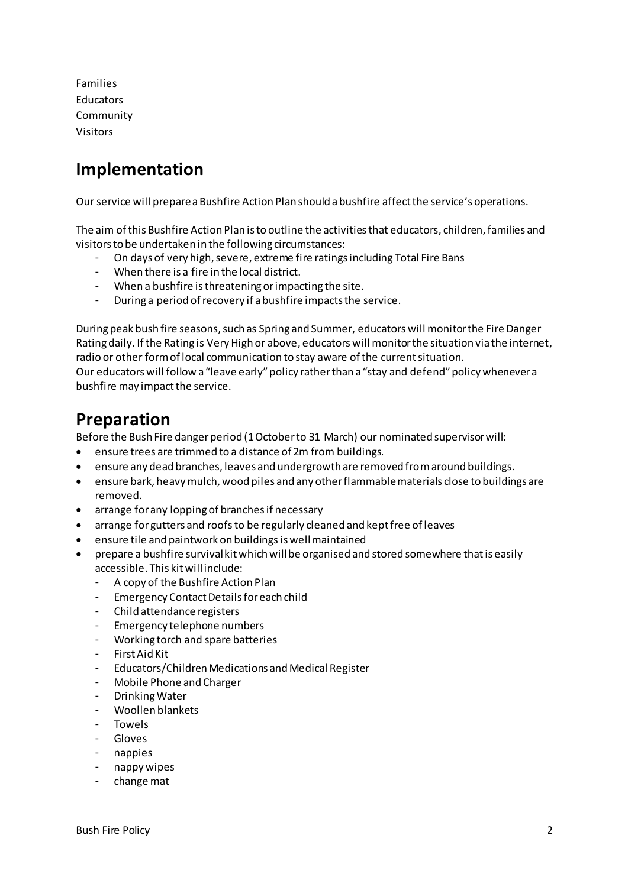Families Educators Community Visitors

### **Implementation**

Our service will prepare a Bushfire Action Plan should a bushfire affect the service's operations.

The aim of this Bushfire Action Plan is to outline the activities that educators, children, families and visitors to be undertaken in the following circumstances:

- On days of very high, severe, extreme fire ratings including Total Fire Bans
- When there is a fire in the local district.
- When a bushfire is threatening or impacting the site.
- During a period of recovery if a bushfire impacts the service.

During peak bush fire seasons, such as Spring and Summer, educators will monitor the Fire Danger Rating daily. If the Rating is Very High or above, educators will monitor the situation via the internet, radio or other form of local communication to stay aware of the current situation.

Our educators will follow a "leave early" policy rather than a "stay and defend" policy whenever a bushfire may impact the service.

### **Preparation**

Before the Bush Fire danger period (1 October to 31 March) our nominated supervisor will:

- ensure trees are trimmed to a distance of 2m from buildings.
- ensure any dead branches, leaves and undergrowth are removed from around buildings.
- ensure bark, heavy mulch, wood piles and any other flammable materials close to buildings are removed.
- arrange for any lopping of branches if necessary
- arrange for gutters and roofs to be regularly cleaned and kept free of leaves
- ensure tile and paintwork on buildings is well maintained
- prepare a bushfire survival kit which will be organised and stored somewhere that is easily accessible. This kit will include:
	- A copy of the Bushfire Action Plan
	- Emergency Contact Details for each child
	- Child attendance registers
	- Emergency telephone numbers
	- Working torch and spare batteries
	- First Aid Kit
	- Educators/Children Medications and Medical Register
	- Mobile Phone and Charger
	- Drinking Water
	- Woollen blankets
	- Towels
	- **Gloves**
	- nappies
	- nappy wipes
	- change mat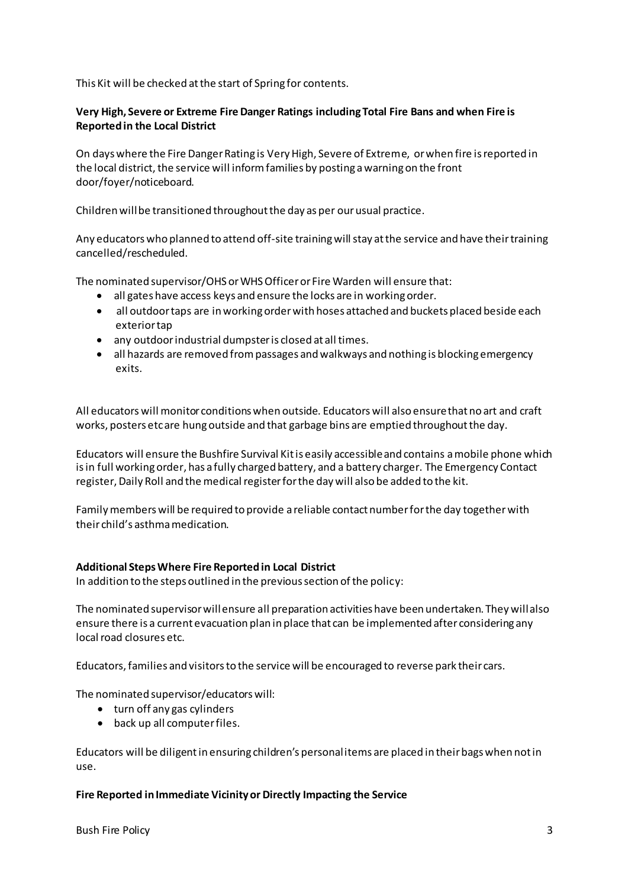This Kit will be checked at the start of Spring for contents.

#### **Very High, Severe or Extreme Fire Danger Ratings including Total Fire Bans and when Fire is Reported in the Local District**

On days where the Fire Danger Rating is Very High, Severe of Extreme, or when fire is reported in the local district, the service will inform families by posting a warning on the front door/foyer/noticeboard.

Children will be transitioned throughout the day as per our usual practice.

Any educators who planned to attend off-site training will stay at the service and have their training cancelled/rescheduled.

The nominated supervisor/OHS or WHS Officer or Fire Warden will ensure that:

- all gates have access keys and ensure the locks are in working order.
- all outdoor taps are in working order with hoses attached and buckets placed beside each exterior tap
- any outdoor industrial dumpster is closed at all times.
- all hazards are removed from passages and walkways and nothing is blocking emergency exits.

All educators will monitor conditions when outside. Educators will also ensure that no art and craft works, posters etc are hung outside and that garbage bins are emptied throughout the day.

Educators will ensure the Bushfire Survival Kit is easily accessible and contains a mobile phone which is in full working order, has a fully charged battery, and a battery charger. The Emergency Contact register, Daily Roll and the medical register for the day will also be added to the kit.

Family members will be required to provide a reliable contact number for the day together with their child's asthma medication.

#### **Additional Steps Where Fire Reported in Local District**

In addition to the steps outlined in the previous section of the policy:

The nominated supervisor will ensure all preparation activities have been undertaken. They will also ensure there is a current evacuation plan in place that can be implemented after considering any local road closures etc.

Educators, families and visitors to the service will be encouraged to reverse park their cars.

The nominated supervisor/educators will:

- turn off any gas cylinders
- back up all computer files.

Educators will be diligent in ensuring children's personal items are placed in their bags when not in use.

#### **Fire Reported in Immediate Vicinity or Directly Impacting the Service**

Bush Fire Policy 3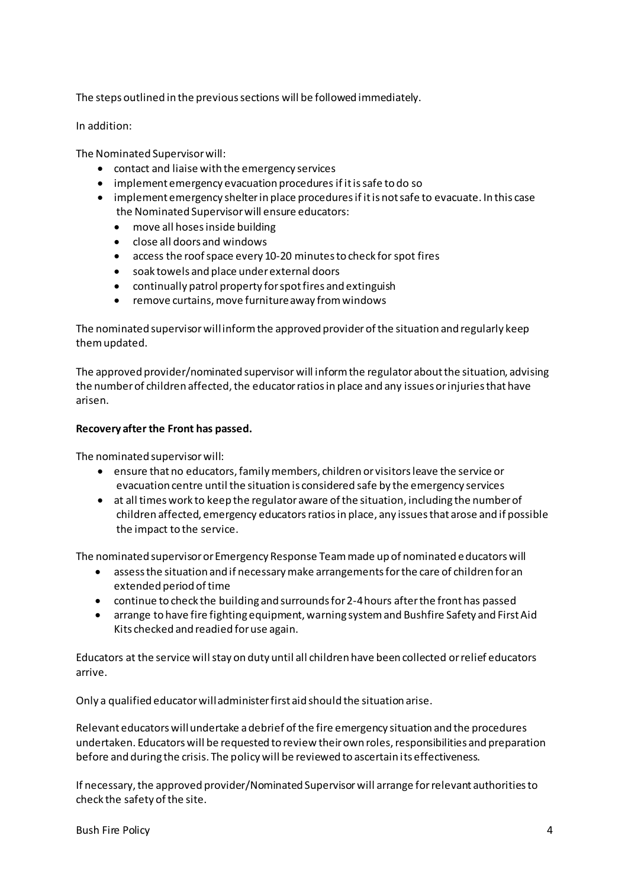The steps outlined in the previous sections will be followed immediately.

In addition:

The Nominated Supervisor will:

- contact and liaise with the emergency services
- implement emergency evacuation procedures if it is safe to do so
- implement emergency shelter in place procedures if it is not safe to evacuate. In this case the Nominated Supervisor will ensure educators:
	- move all hoses inside building
	- close all doors and windows
	- access the roof space every 10-20 minutes to check for spot fires
	- soak towels and place under external doors
	- continually patrol property for spot fires and extinguish
	- remove curtains, move furniture away from windows

The nominated supervisor will inform the approved provider of the situation and regularly keep them updated.

The approved provider/nominated supervisor will inform the regulator about the situation, advising the number of children affected, the educator ratios in place and any issues or injuries that have arisen.

#### **Recovery after the Front has passed.**

The nominated supervisor will:

- ensure that no educators, family members, children or visitors leave the service or evacuation centre until the situation is considered safe by the emergency services
- at all times work to keep the regulator aware of the situation, including the number of children affected, emergency educators ratios in place, any issues that arose and if possible the impact to the service.

The nominated supervisor or Emergency Response Team made up of nominated e ducators will

- assess the situation and if necessary make arrangements for the care of children for an extended period of time
- continue to check the building and surrounds for 2-4 hours after the front has passed
- arrange to have fire fighting equipment, warning system and Bushfire Safety and First Aid Kits checked and readied for use again.

Educators at the service will stay on duty until all children have been collected or relief educators arrive.

Only a qualified educator will administer first aid should the situation arise.

Relevant educators will undertake a debrief of the fire emergency situation and the procedures undertaken. Educators will be requested to review their own roles, responsibilities and preparation before and during the crisis. The policy will be reviewed to ascertain its effectiveness.

If necessary, the approved provider/Nominated Supervisor will arrange for relevant authorities to check the safety of the site.